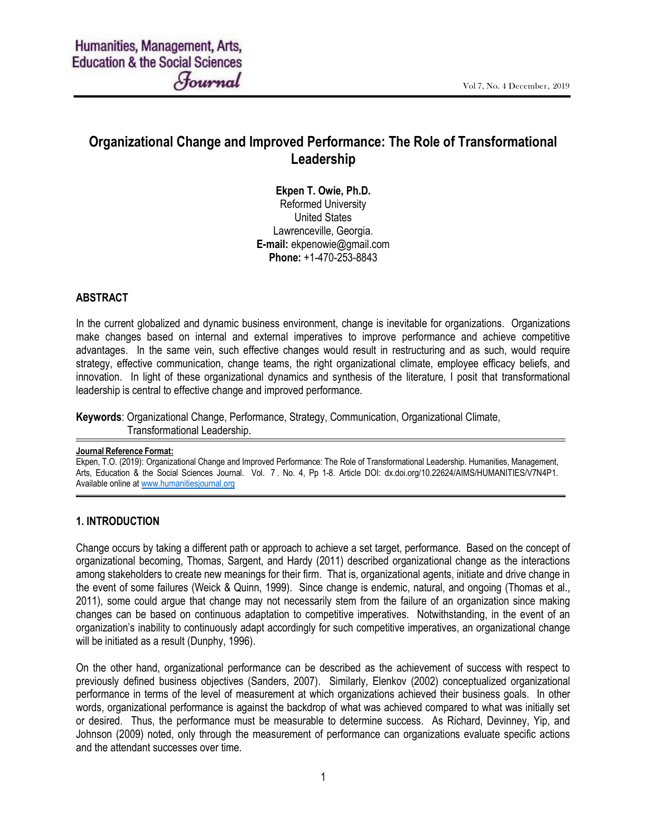# Organizational Change and Improved Performance: The Role of Transformational Leadership

Ekpen T. Owie, Ph.D. Reformed University United States Lawrenceville, Georgia. E-mail: ekpenowie@gmail.com Phone: +1-470-253-8843

### **ABSTRACT**

In the current globalized and dynamic business environment, change is inevitable for organizations. Organizations make changes based on internal and external imperatives to improve performance and achieve competitive advantages. In the same vein, such effective changes would result in restructuring and as such, would require strategy, effective communication, change teams, the right organizational climate, employee efficacy beliefs, and innovation. In light of these organizational dynamics and synthesis of the literature, I posit that transformational leadership is central to effective change and improved performance.

Keywords: Organizational Change, Performance, Strategy, Communication, Organizational Climate, Transformational Leadership.

#### Journal Reference Format:

Ekpen, T.O. (2019): Organizational Change and Improved Performance: The Role of Transformational Leadership. Humanities, Management, Arts, Education & the Social Sciences Journal. Vol. 7 . No. 4, Pp 1-8. Article DOI: dx.doi.org/10.22624/AIMS/HUMANITIES/V7N4P1. Available online at www.humanitiesjournal.org

#### 1. INTRODUCTION

Change occurs by taking a different path or approach to achieve a set target, performance. Based on the concept of organizational becoming, Thomas, Sargent, and Hardy (2011) described organizational change as the interactions among stakeholders to create new meanings for their firm. That is, organizational agents, initiate and drive change in the event of some failures (Weick & Quinn, 1999). Since change is endemic, natural, and ongoing (Thomas et al., 2011), some could argue that change may not necessarily stem from the failure of an organization since making changes can be based on continuous adaptation to competitive imperatives. Notwithstanding, in the event of an organization's inability to continuously adapt accordingly for such competitive imperatives, an organizational change will be initiated as a result (Dunphy, 1996).

On the other hand, organizational performance can be described as the achievement of success with respect to previously defined business objectives (Sanders, 2007). Similarly, Elenkov (2002) conceptualized organizational performance in terms of the level of measurement at which organizations achieved their business goals. In other words, organizational performance is against the backdrop of what was achieved compared to what was initially set or desired. Thus, the performance must be measurable to determine success. As Richard, Devinney, Yip, and Johnson (2009) noted, only through the measurement of performance can organizations evaluate specific actions and the attendant successes over time.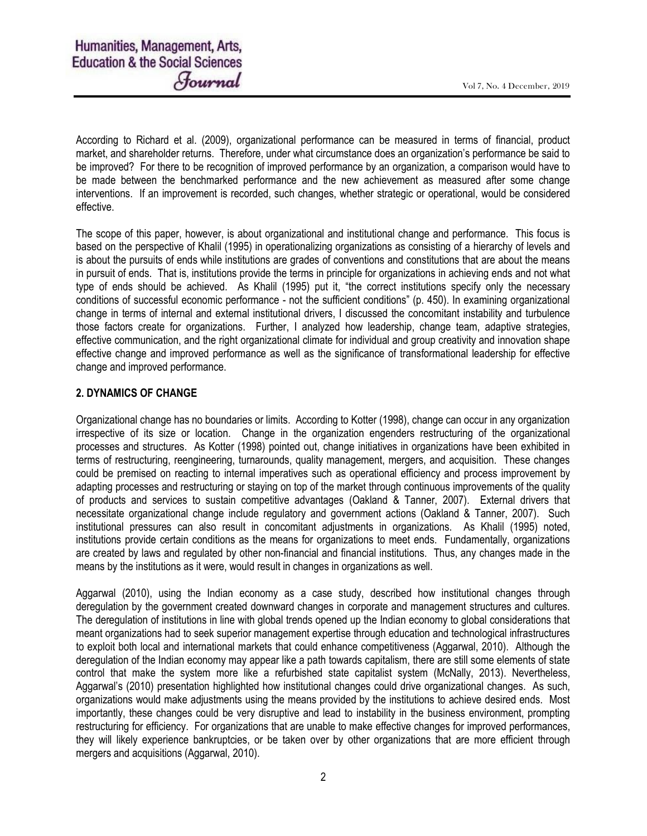According to Richard et al. (2009), organizational performance can be measured in terms of financial, product market, and shareholder returns. Therefore, under what circumstance does an organization's performance be said to be improved? For there to be recognition of improved performance by an organization, a comparison would have to be made between the benchmarked performance and the new achievement as measured after some change interventions. If an improvement is recorded, such changes, whether strategic or operational, would be considered effective.

The scope of this paper, however, is about organizational and institutional change and performance. This focus is based on the perspective of Khalil (1995) in operationalizing organizations as consisting of a hierarchy of levels and is about the pursuits of ends while institutions are grades of conventions and constitutions that are about the means in pursuit of ends. That is, institutions provide the terms in principle for organizations in achieving ends and not what type of ends should be achieved. As Khalil (1995) put it, "the correct institutions specify only the necessary conditions of successful economic performance - not the sufficient conditions" (p. 450). In examining organizational change in terms of internal and external institutional drivers, I discussed the concomitant instability and turbulence those factors create for organizations. Further, I analyzed how leadership, change team, adaptive strategies, effective communication, and the right organizational climate for individual and group creativity and innovation shape effective change and improved performance as well as the significance of transformational leadership for effective change and improved performance.

## 2. DYNAMICS OF CHANGE

Organizational change has no boundaries or limits. According to Kotter (1998), change can occur in any organization irrespective of its size or location. Change in the organization engenders restructuring of the organizational processes and structures. As Kotter (1998) pointed out, change initiatives in organizations have been exhibited in terms of restructuring, reengineering, turnarounds, quality management, mergers, and acquisition. These changes could be premised on reacting to internal imperatives such as operational efficiency and process improvement by adapting processes and restructuring or staying on top of the market through continuous improvements of the quality of products and services to sustain competitive advantages (Oakland & Tanner, 2007). External drivers that necessitate organizational change include regulatory and government actions (Oakland & Tanner, 2007). Such institutional pressures can also result in concomitant adjustments in organizations. As Khalil (1995) noted, institutions provide certain conditions as the means for organizations to meet ends. Fundamentally, organizations are created by laws and regulated by other non-financial and financial institutions. Thus, any changes made in the means by the institutions as it were, would result in changes in organizations as well.

Aggarwal (2010), using the Indian economy as a case study, described how institutional changes through deregulation by the government created downward changes in corporate and management structures and cultures. The deregulation of institutions in line with global trends opened up the Indian economy to global considerations that meant organizations had to seek superior management expertise through education and technological infrastructures to exploit both local and international markets that could enhance competitiveness (Aggarwal, 2010). Although the deregulation of the Indian economy may appear like a path towards capitalism, there are still some elements of state control that make the system more like a refurbished state capitalist system (McNally, 2013). Nevertheless, Aggarwal's (2010) presentation highlighted how institutional changes could drive organizational changes. As such, organizations would make adjustments using the means provided by the institutions to achieve desired ends. Most importantly, these changes could be very disruptive and lead to instability in the business environment, prompting restructuring for efficiency. For organizations that are unable to make effective changes for improved performances, they will likely experience bankruptcies, or be taken over by other organizations that are more efficient through mergers and acquisitions (Aggarwal, 2010).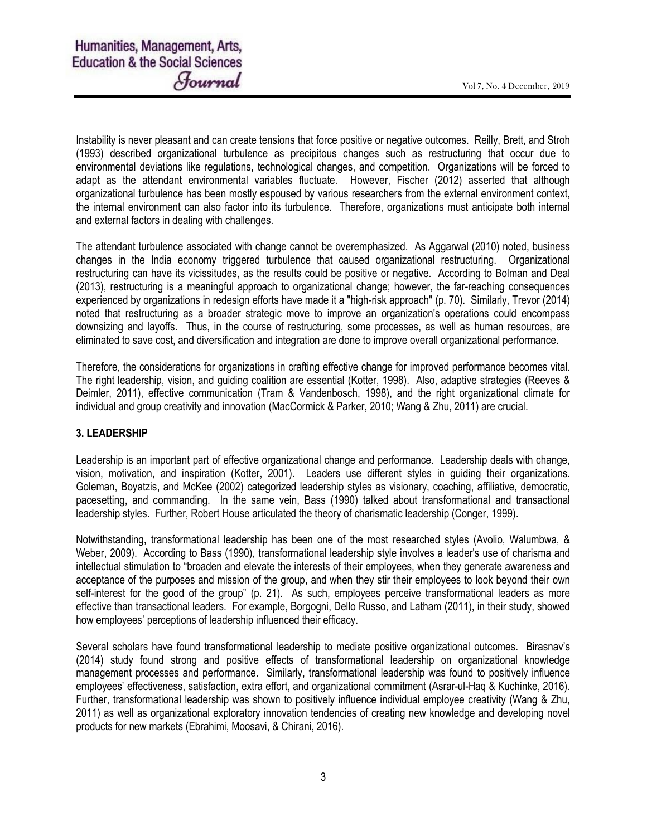Instability is never pleasant and can create tensions that force positive or negative outcomes. Reilly, Brett, and Stroh (1993) described organizational turbulence as precipitous changes such as restructuring that occur due to environmental deviations like regulations, technological changes, and competition. Organizations will be forced to adapt as the attendant environmental variables fluctuate. However, Fischer (2012) asserted that although organizational turbulence has been mostly espoused by various researchers from the external environment context, the internal environment can also factor into its turbulence. Therefore, organizations must anticipate both internal and external factors in dealing with challenges.

The attendant turbulence associated with change cannot be overemphasized. As Aggarwal (2010) noted, business changes in the India economy triggered turbulence that caused organizational restructuring. Organizational restructuring can have its vicissitudes, as the results could be positive or negative. According to Bolman and Deal (2013), restructuring is a meaningful approach to organizational change; however, the far-reaching consequences experienced by organizations in redesign efforts have made it a "high-risk approach" (p. 70). Similarly, Trevor (2014) noted that restructuring as a broader strategic move to improve an organization's operations could encompass downsizing and layoffs. Thus, in the course of restructuring, some processes, as well as human resources, are eliminated to save cost, and diversification and integration are done to improve overall organizational performance.

Therefore, the considerations for organizations in crafting effective change for improved performance becomes vital. The right leadership, vision, and guiding coalition are essential (Kotter, 1998). Also, adaptive strategies (Reeves & Deimler, 2011), effective communication (Tram & Vandenbosch, 1998), and the right organizational climate for individual and group creativity and innovation (MacCormick & Parker, 2010; Wang & Zhu, 2011) are crucial.

# 3. LEADERSHIP

Leadership is an important part of effective organizational change and performance. Leadership deals with change, vision, motivation, and inspiration (Kotter, 2001). Leaders use different styles in guiding their organizations. Goleman, Boyatzis, and McKee (2002) categorized leadership styles as visionary, coaching, affiliative, democratic, pacesetting, and commanding. In the same vein, Bass (1990) talked about transformational and transactional leadership styles. Further, Robert House articulated the theory of charismatic leadership (Conger, 1999).

Notwithstanding, transformational leadership has been one of the most researched styles (Avolio, Walumbwa, & Weber, 2009). According to Bass (1990), transformational leadership style involves a leader's use of charisma and intellectual stimulation to "broaden and elevate the interests of their employees, when they generate awareness and acceptance of the purposes and mission of the group, and when they stir their employees to look beyond their own self-interest for the good of the group" (p. 21). As such, employees perceive transformational leaders as more effective than transactional leaders. For example, Borgogni, Dello Russo, and Latham (2011), in their study, showed how employees' perceptions of leadership influenced their efficacy.

Several scholars have found transformational leadership to mediate positive organizational outcomes. Birasnav's (2014) study found strong and positive effects of transformational leadership on organizational knowledge management processes and performance. Similarly, transformational leadership was found to positively influence employees' effectiveness, satisfaction, extra effort, and organizational commitment (Asrar-ul-Haq & Kuchinke, 2016). Further, transformational leadership was shown to positively influence individual employee creativity (Wang & Zhu, 2011) as well as organizational exploratory innovation tendencies of creating new knowledge and developing novel products for new markets (Ebrahimi, Moosavi, & Chirani, 2016).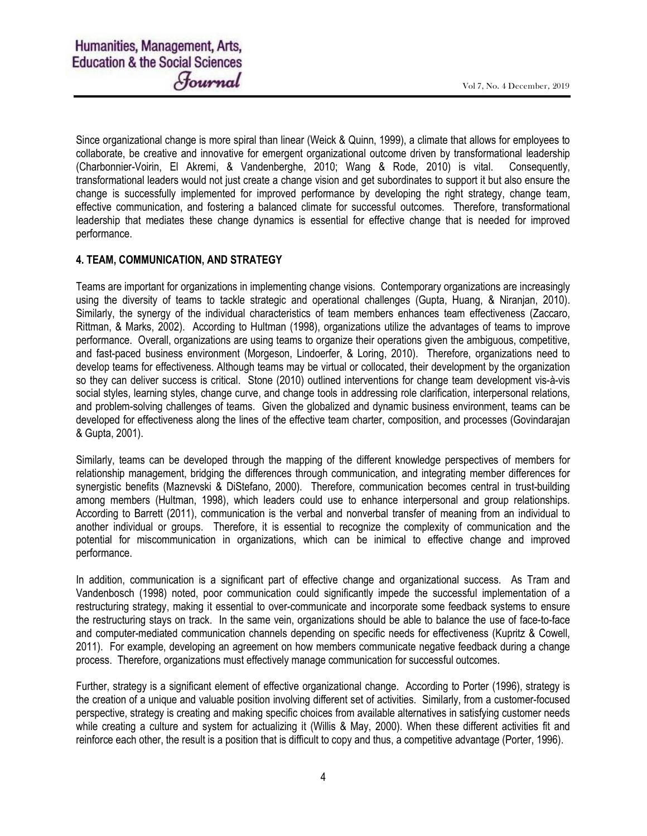Since organizational change is more spiral than linear (Weick & Quinn, 1999), a climate that allows for employees to collaborate, be creative and innovative for emergent organizational outcome driven by transformational leadership (Charbonnier-Voirin, El Akremi, & Vandenberghe, 2010; Wang & Rode, 2010) is vital. Consequently, transformational leaders would not just create a change vision and get subordinates to support it but also ensure the change is successfully implemented for improved performance by developing the right strategy, change team, effective communication, and fostering a balanced climate for successful outcomes. Therefore, transformational leadership that mediates these change dynamics is essential for effective change that is needed for improved performance.

# 4. TEAM, COMMUNICATION, AND STRATEGY

Teams are important for organizations in implementing change visions. Contemporary organizations are increasingly using the diversity of teams to tackle strategic and operational challenges (Gupta, Huang, & Niranjan, 2010). Similarly, the synergy of the individual characteristics of team members enhances team effectiveness (Zaccaro, Rittman, & Marks, 2002). According to Hultman (1998), organizations utilize the advantages of teams to improve performance. Overall, organizations are using teams to organize their operations given the ambiguous, competitive, and fast-paced business environment (Morgeson, Lindoerfer, & Loring, 2010). Therefore, organizations need to develop teams for effectiveness. Although teams may be virtual or collocated, their development by the organization so they can deliver success is critical. Stone (2010) outlined interventions for change team development vis-à-vis social styles, learning styles, change curve, and change tools in addressing role clarification, interpersonal relations, and problem-solving challenges of teams. Given the globalized and dynamic business environment, teams can be developed for effectiveness along the lines of the effective team charter, composition, and processes (Govindarajan & Gupta, 2001).

Similarly, teams can be developed through the mapping of the different knowledge perspectives of members for relationship management, bridging the differences through communication, and integrating member differences for synergistic benefits (Maznevski & DiStefano, 2000). Therefore, communication becomes central in trust-building among members (Hultman, 1998), which leaders could use to enhance interpersonal and group relationships. According to Barrett (2011), communication is the verbal and nonverbal transfer of meaning from an individual to another individual or groups. Therefore, it is essential to recognize the complexity of communication and the potential for miscommunication in organizations, which can be inimical to effective change and improved performance.

In addition, communication is a significant part of effective change and organizational success. As Tram and Vandenbosch (1998) noted, poor communication could significantly impede the successful implementation of a restructuring strategy, making it essential to over-communicate and incorporate some feedback systems to ensure the restructuring stays on track. In the same vein, organizations should be able to balance the use of face-to-face and computer-mediated communication channels depending on specific needs for effectiveness (Kupritz & Cowell, 2011). For example, developing an agreement on how members communicate negative feedback during a change process. Therefore, organizations must effectively manage communication for successful outcomes.

Further, strategy is a significant element of effective organizational change. According to Porter (1996), strategy is the creation of a unique and valuable position involving different set of activities. Similarly, from a customer-focused perspective, strategy is creating and making specific choices from available alternatives in satisfying customer needs while creating a culture and system for actualizing it (Willis & May, 2000). When these different activities fit and reinforce each other, the result is a position that is difficult to copy and thus, a competitive advantage (Porter, 1996).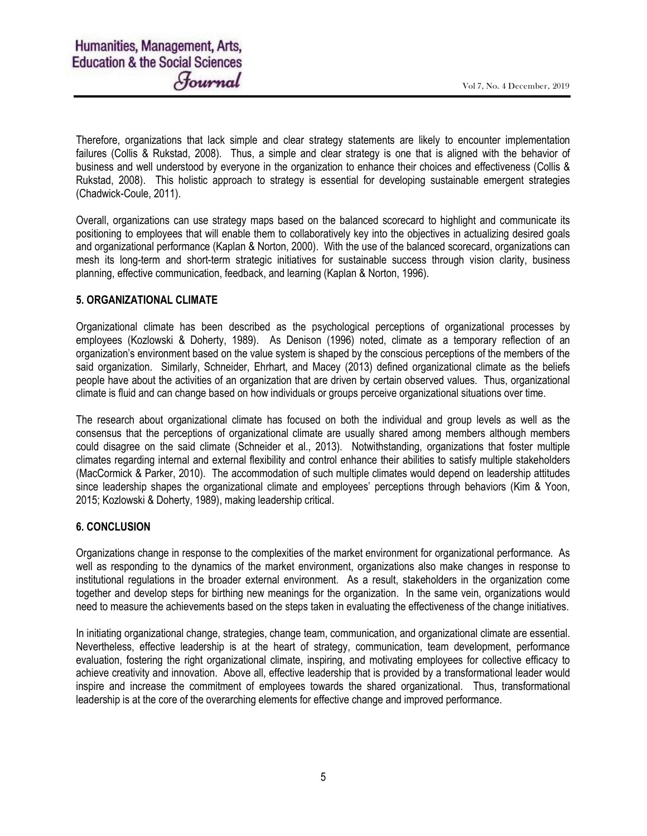Therefore, organizations that lack simple and clear strategy statements are likely to encounter implementation failures (Collis & Rukstad, 2008). Thus, a simple and clear strategy is one that is aligned with the behavior of business and well understood by everyone in the organization to enhance their choices and effectiveness (Collis & Rukstad, 2008). This holistic approach to strategy is essential for developing sustainable emergent strategies (Chadwick-Coule, 2011).

Overall, organizations can use strategy maps based on the balanced scorecard to highlight and communicate its positioning to employees that will enable them to collaboratively key into the objectives in actualizing desired goals and organizational performance (Kaplan & Norton, 2000). With the use of the balanced scorecard, organizations can mesh its long-term and short-term strategic initiatives for sustainable success through vision clarity, business planning, effective communication, feedback, and learning (Kaplan & Norton, 1996).

### 5. ORGANIZATIONAL CLIMATE

Organizational climate has been described as the psychological perceptions of organizational processes by employees (Kozlowski & Doherty, 1989). As Denison (1996) noted, climate as a temporary reflection of an organization's environment based on the value system is shaped by the conscious perceptions of the members of the said organization. Similarly, Schneider, Ehrhart, and Macey (2013) defined organizational climate as the beliefs people have about the activities of an organization that are driven by certain observed values. Thus, organizational climate is fluid and can change based on how individuals or groups perceive organizational situations over time.

The research about organizational climate has focused on both the individual and group levels as well as the consensus that the perceptions of organizational climate are usually shared among members although members could disagree on the said climate (Schneider et al., 2013). Notwithstanding, organizations that foster multiple climates regarding internal and external flexibility and control enhance their abilities to satisfy multiple stakeholders (MacCormick & Parker, 2010). The accommodation of such multiple climates would depend on leadership attitudes since leadership shapes the organizational climate and employees' perceptions through behaviors (Kim & Yoon, 2015; Kozlowski & Doherty, 1989), making leadership critical.

### 6. CONCLUSION

Organizations change in response to the complexities of the market environment for organizational performance. As well as responding to the dynamics of the market environment, organizations also make changes in response to institutional regulations in the broader external environment. As a result, stakeholders in the organization come together and develop steps for birthing new meanings for the organization. In the same vein, organizations would need to measure the achievements based on the steps taken in evaluating the effectiveness of the change initiatives.

In initiating organizational change, strategies, change team, communication, and organizational climate are essential. Nevertheless, effective leadership is at the heart of strategy, communication, team development, performance evaluation, fostering the right organizational climate, inspiring, and motivating employees for collective efficacy to achieve creativity and innovation. Above all, effective leadership that is provided by a transformational leader would inspire and increase the commitment of employees towards the shared organizational. Thus, transformational leadership is at the core of the overarching elements for effective change and improved performance.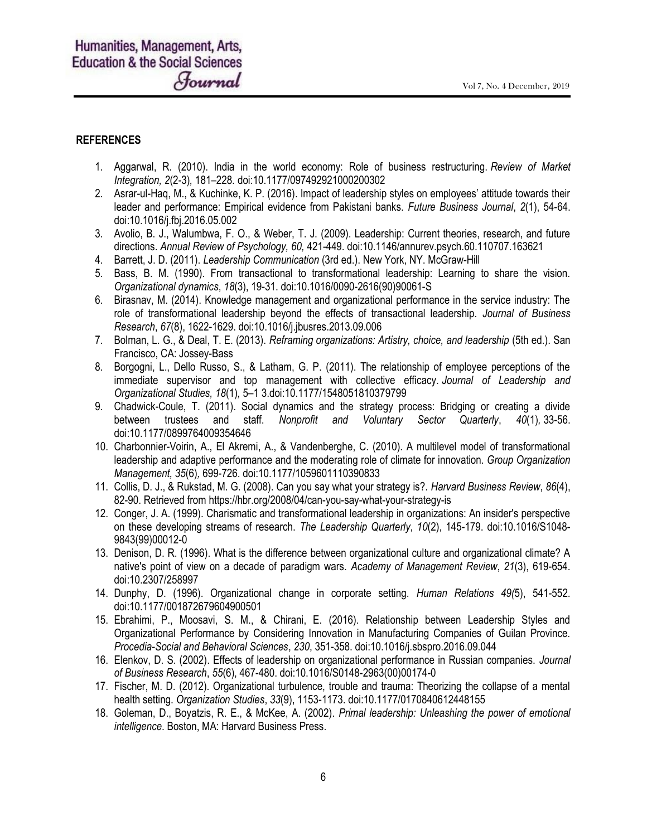## **REFERENCES**

- 1. Aggarwal, R. (2010). India in the world economy: Role of business restructuring. Review of Market Integration, 2(2-3), 181–228. doi:10.1177/097492921000200302
- 2. Asrar-ul-Haq, M., & Kuchinke, K. P. (2016). Impact of leadership styles on employees' attitude towards their leader and performance: Empirical evidence from Pakistani banks. Future Business Journal, 2(1), 54-64. doi:10.1016/j.fbj.2016.05.002
- 3. Avolio, B. J., Walumbwa, F. O., & Weber, T. J. (2009). Leadership: Current theories, research, and future directions. Annual Review of Psychology, 60, 421-449. doi:10.1146/annurev.psych.60.110707.163621
- 4. Barrett, J. D. (2011). Leadership Communication (3rd ed.). New York, NY. McGraw-Hill
- 5. Bass, B. M. (1990). From transactional to transformational leadership: Learning to share the vision. Organizational dynamics, 18(3), 19-31. doi:10.1016/0090-2616(90)90061-S
- 6. Birasnav, M. (2014). Knowledge management and organizational performance in the service industry: The role of transformational leadership beyond the effects of transactional leadership. Journal of Business Research, 67(8), 1622-1629. doi:10.1016/j.jbusres.2013.09.006
- 7. Bolman, L. G., & Deal, T. E. (2013). Reframing organizations: Artistry, choice, and leadership (5th ed.). San Francisco, CA: Jossey-Bass
- 8. Borgogni, L., Dello Russo, S., & Latham, G. P. (2011). The relationship of employee perceptions of the immediate supervisor and top management with collective efficacy. Journal of Leadership and Organizational Studies, 18(1), 5–1 3.doi:10.1177/1548051810379799
- 9. Chadwick-Coule, T. (2011). Social dynamics and the strategy process: Bridging or creating a divide between trustees and staff. Nonprofit and Voluntary Sector Quarterly, 40(1), 33-56. doi:10.1177/0899764009354646
- 10. Charbonnier-Voirin, A., El Akremi, A., & Vandenberghe, C. (2010). A multilevel model of transformational leadership and adaptive performance and the moderating role of climate for innovation. Group Organization Management, 35(6), 699-726. doi:10.1177/1059601110390833
- 11. Collis, D. J., & Rukstad, M. G. (2008). Can you say what your strategy is?. Harvard Business Review, 86(4), 82-90. Retrieved from https://hbr.org/2008/04/can-you-say-what-your-strategy-is
- 12. Conger, J. A. (1999). Charismatic and transformational leadership in organizations: An insider's perspective on these developing streams of research. The Leadership Quarterly, 10(2), 145-179. doi:10.1016/S1048-9843(99)00012-0
- 13. Denison, D. R. (1996). What is the difference between organizational culture and organizational climate? A native's point of view on a decade of paradigm wars. Academy of Management Review, 21(3), 619-654. doi:10.2307/258997
- 14. Dunphy, D. (1996). Organizational change in corporate setting. Human Relations 49(5), 541-552. doi:10.1177/001872679604900501
- 15. Ebrahimi, P., Moosavi, S. M., & Chirani, E. (2016). Relationship between Leadership Styles and Organizational Performance by Considering Innovation in Manufacturing Companies of Guilan Province. Procedia-Social and Behavioral Sciences, 230, 351-358. doi:10.1016/j.sbspro.2016.09.044
- 16. Elenkov, D. S. (2002). Effects of leadership on organizational performance in Russian companies. Journal of Business Research, 55(6), 467-480. doi:10.1016/S0148-2963(00)00174-0
- 17. Fischer, M. D. (2012). Organizational turbulence, trouble and trauma: Theorizing the collapse of a mental health setting. Organization Studies, 33(9), 1153-1173. doi:10.1177/0170840612448155
- 18. Goleman, D., Boyatzis, R. E., & McKee, A. (2002). Primal leadership: Unleashing the power of emotional intelligence. Boston, MA: Harvard Business Press.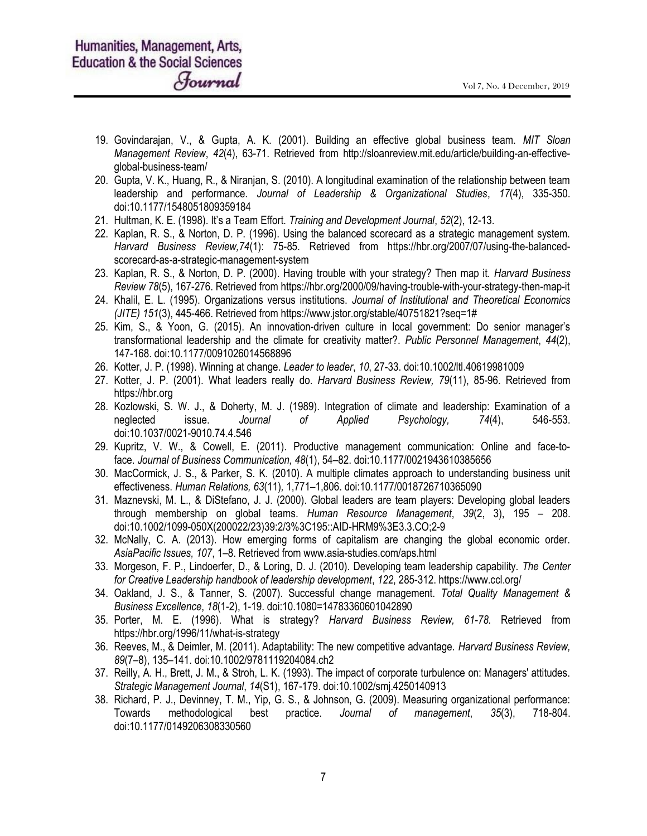- 19. Govindarajan, V., & Gupta, A. K. (2001). Building an effective global business team. MIT Sloan Management Review, 42(4), 63-71. Retrieved from http://sloanreview.mit.edu/article/building-an-effectiveglobal-business-team/
- 20. Gupta, V. K., Huang, R., & Niranjan, S. (2010). A longitudinal examination of the relationship between team leadership and performance. Journal of Leadership & Organizational Studies, 17(4), 335-350. doi:10.1177/1548051809359184
- 21. Hultman, K. E. (1998). It's a Team Effort. Training and Development Journal, 52(2), 12-13.
- 22. Kaplan, R. S., & Norton, D. P. (1996). Using the balanced scorecard as a strategic management system. Harvard Business Review,74(1): 75-85. Retrieved from https://hbr.org/2007/07/using-the-balancedscorecard-as-a-strategic-management-system
- 23. Kaplan, R. S., & Norton, D. P. (2000). Having trouble with your strategy? Then map it. Harvard Business Review 78(5), 167-276. Retrieved from https://hbr.org/2000/09/having-trouble-with-your-strategy-then-map-it
- 24. Khalil, E. L. (1995). Organizations versus institutions. Journal of Institutional and Theoretical Economics (JITE) 151(3), 445-466. Retrieved from https://www.jstor.org/stable/40751821?seq=1#
- 25. Kim, S., & Yoon, G. (2015). An innovation-driven culture in local government: Do senior manager's transformational leadership and the climate for creativity matter?. Public Personnel Management, 44(2), 147-168. doi:10.1177/0091026014568896
- 26. Kotter, J. P. (1998). Winning at change. Leader to leader, 10, 27-33. doi:10.1002/ltl.40619981009
- 27. Kotter, J. P. (2001). What leaders really do. Harvard Business Review, 79(11), 85-96. Retrieved from https://hbr.org
- 28. Kozlowski, S. W. J., & Doherty, M. J. (1989). Integration of climate and leadership: Examination of a neglected issue. Journal of Applied Psychology, 74(4), 546-553. doi:10.1037/0021-9010.74.4.546
- 29. Kupritz, V. W., & Cowell, E. (2011). Productive management communication: Online and face-toface. Journal of Business Communication, 48(1), 54–82. doi:10.1177/0021943610385656
- 30. MacCormick, J. S., & Parker, S. K. (2010). A multiple climates approach to understanding business unit effectiveness. Human Relations, 63(11), 1,771–1,806. doi:10.1177/0018726710365090
- 31. Maznevski, M. L., & DiStefano, J. J. (2000). Global leaders are team players: Developing global leaders through membership on global teams. Human Resource Management, 39(2, 3), 195 – 208. doi:10.1002/1099-050X(200022/23)39:2/3%3C195::AID-HRM9%3E3.3.CO;2-9
- 32. McNally, C. A. (2013). How emerging forms of capitalism are changing the global economic order. AsiaPacific Issues, 107, 1–8. Retrieved from www.asia-studies.com/aps.html
- 33. Morgeson, F. P., Lindoerfer, D., & Loring, D. J. (2010). Developing team leadership capability. The Center for Creative Leadership handbook of leadership development, 122, 285-312. https://www.ccl.org/
- 34. Oakland, J. S., & Tanner, S. (2007). Successful change management. Total Quality Management & Business Excellence, 18(1-2), 1-19. doi:10.1080=14783360601042890
- 35. Porter, M. E. (1996). What is strategy? Harvard Business Review, 61-78. Retrieved from https://hbr.org/1996/11/what-is-strategy
- 36. Reeves, M., & Deimler, M. (2011). Adaptability: The new competitive advantage. Harvard Business Review, 89(7–8), 135–141. doi:10.1002/9781119204084.ch2
- 37. Reilly, A. H., Brett, J. M., & Stroh, L. K. (1993). The impact of corporate turbulence on: Managers' attitudes. Strategic Management Journal, 14(S1), 167-179. doi:10.1002/smj.4250140913
- 38. Richard, P. J., Devinney, T. M., Yip, G. S., & Johnson, G. (2009). Measuring organizational performance: Towards methodological best practice. Journal of management, 35(3), 718-804. doi:10.1177/0149206308330560